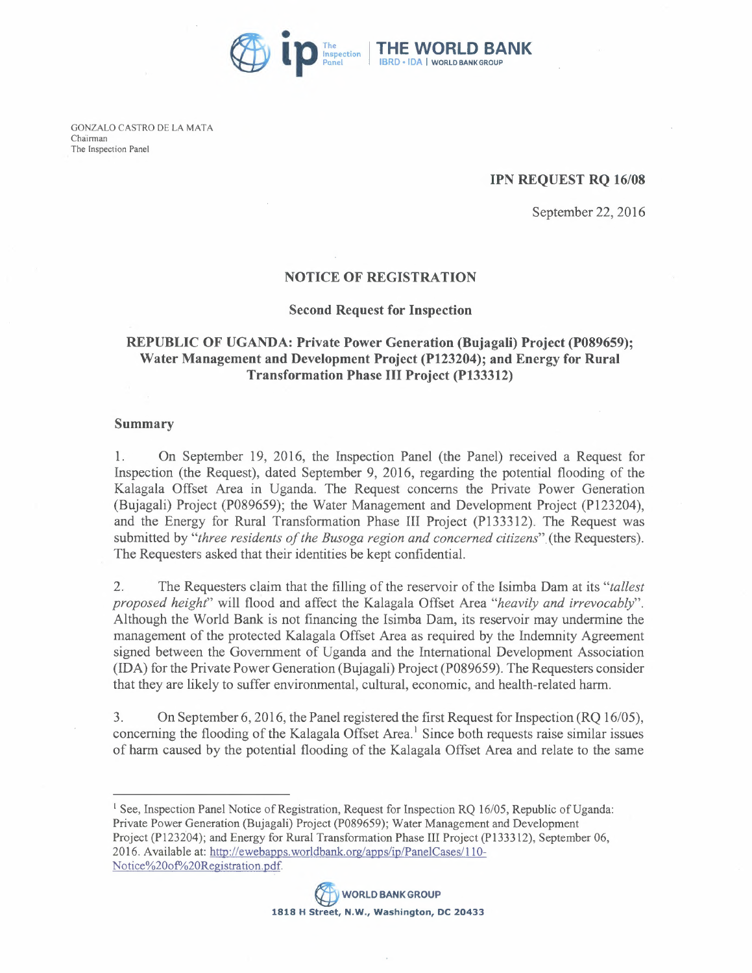

GONZALO CASTRO DE LA MATA Chairman The Inspection Panel

#### IPN REQUEST RQ *16/08*

September 22,2016

### NOTICE OF REGISTRATION

#### Second Request for Inspection

# REPUBLIC OF UGANDA: Private Power Generation (Bujagali) Project (P089659); Water Management and Development Project (P123204); and Energy for Rural Transformation Phase **III** Project (PI33312)

# Summary

1. On September 19, 2016, the Inspection Panel (the Panel) received a Request for Inspection (the Request), dated September 9, 2016, regarding the potential flooding of the Kalagala Offset Area in Uganda. The Request concerns the Private Power Generation (Bujagali) Project (P089659); the Water Management and Development Project (P123204), and the Energy for Rural Transformation Phase III Project (P133312). The Request was submitted by "*three residents of the Busoga region and concerned citizens*" (the Requesters). The Requesters asked that their identities be kept confidential.

2. The Requesters claim that the filling of the reservoir of the Isimba Dam at its *"tallest proposed height"* will flood and affect the Kalagala Offset Area *"heavily and irrevocably".*  Although the World Bank is not financing the Isimba Dam, its reservoir may undermine the management of the protected Kalagala Offset Area as required by the Indemnity Agreement signed between the Government of Uganda and the International Development Association (IDA) for the Private Power Generation (Bujagali) Project (P089659). The Requesters consider that they are likely to suffer environmental, cultural, economic, and health-related harm.

3. On September 6, 2016, the Panel registered the first Request for Inspection (RQ *16/05),*  concerning the flooding of the Kalagala Offset Area.<sup>1</sup> Since both requests raise similar issues of harm caused by the potential flooding of the Kalagala Offset Area and relate to the same

<sup>1</sup> See, Inspection Panel Notice of Registration, Request for Inspection RQ 16/05, Republic of Uganda: Private Power Generation (Bujagali) Project (P089659); Water Management and Development Project (P123204); and Energy for Rural Transformation Phase III Project (PI33312), September 06, 2016. Available at: http://ewebapps.worldbank.org/apps/ip/PanelCases/110-Notice%20of%20Registration.pdf.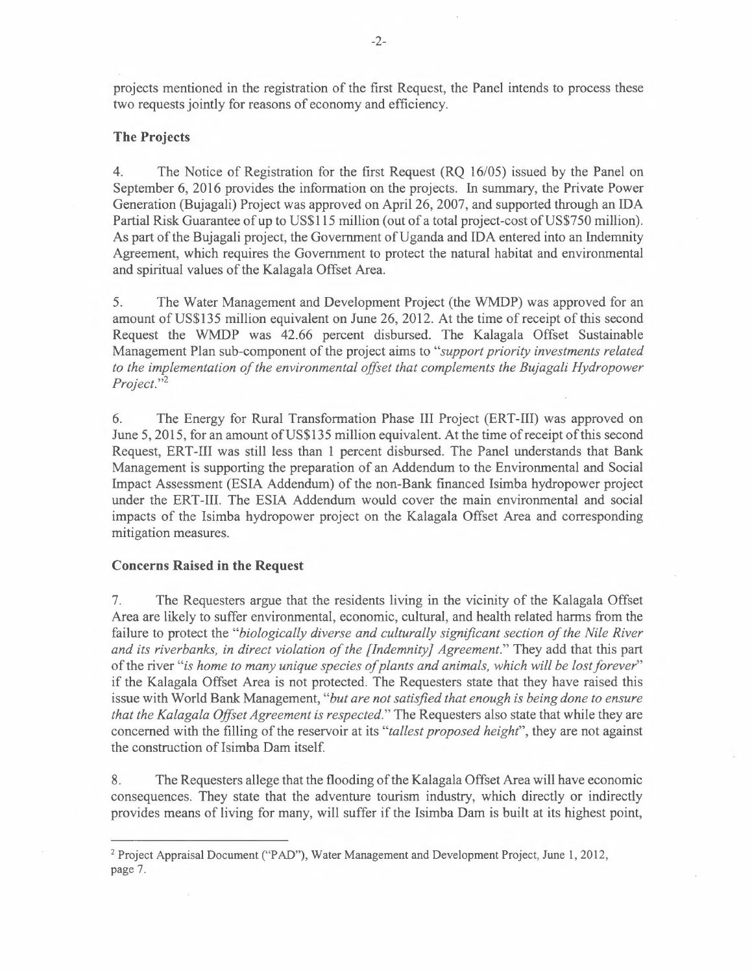projects mentioned in the registration of the first Request, the Panel intends to process these two requests jointly for reasons of economy and efficiency.

# **The Projects**

4. The Notice of Registration for the first Request (RQ *16105)* issued by the Panel on September 6, 2016 provides the information on the projects. In summary, the Private Power Generation (Bujagali) Project was approved on April 26, 2007, and supported through an IDA Partial Risk Guarantee of up to US\$115 million (out of a total project-cost of US\$750 million). As part of the Bujagali project, the Government of Uganda and IDA entered into an Indemnity Agreement, which requires the Government to protect the natural habitat and environmental and spiritual values of the Kalagala Offset Area.

5. The Water Management and Development Project (the WMDP) was approved for an amount of US\$135 million equivalent on June 26, 2012. At the time of receipt of this second Request the WMDP was 42.66 percent disbursed. The Kalagala Offset Sustainable Management Plan sub-component of the project aims to *"support priority investments related to the implementation of the environmental offset that complements the Bujagali Hydropower*  Project."<sup>2</sup>

6. The Energy for Rural Transformation Phase III Project (ERT-III) was approved on June 5, 2015, for an amount of US\$135 million equivalent. At the time of receipt of this second Request, ERT-III was still less than 1 percent disbursed. The Panel understands that Bank Management is supporting the preparation of an Addendum to the Environmental and Social Impact Assessment (ESIA Addendum) of the non-Bank financed Isimba hydropower project under the ERT-Ill. The ESIA Addendum would cover the main environmental and social impacts of the Isimba hydropower project on the Kalagala Offset Area and corresponding mitigation measures.

#### **Concerns Raised in the Request**

7. The Requesters argue that the residents living **in** the vicinity of the Kalagala Offset Area are likely to suffer environmental, economic, cultural, and health related harms from the failure to protect the *"biologically diverse and culturally significant section of the Nile River and its riverbanks, in direct violation of the [Indemnity] Agreement."* They add that this part of the river "is home to many unique species of plants and animals, which will be lost forever" if the Kalagala Offset Area is not protected. The Requesters state that they have raised this issue with World Bank Management, *"but are not satisfied that enough is being done to ensure that the Kalagala Offset Agreement is respected."* The Requesters also state that while they are concerned with the filling of the reservoir at its *"tallest proposed height",* they are not against the construction of Isimba Dam itself.

8. The Requesters allege that the flooding of the Kalagala Offset Area will have economic consequences. They state that the adventure tourism industry, which directly or indirectly provides means of living for many, will suffer if the Isimba Dam is built at its highest point,

<sup>&</sup>lt;sup>2</sup> Project Appraisal Document ("PAD"), Water Management and Development Project, June 1, 2012, page 7.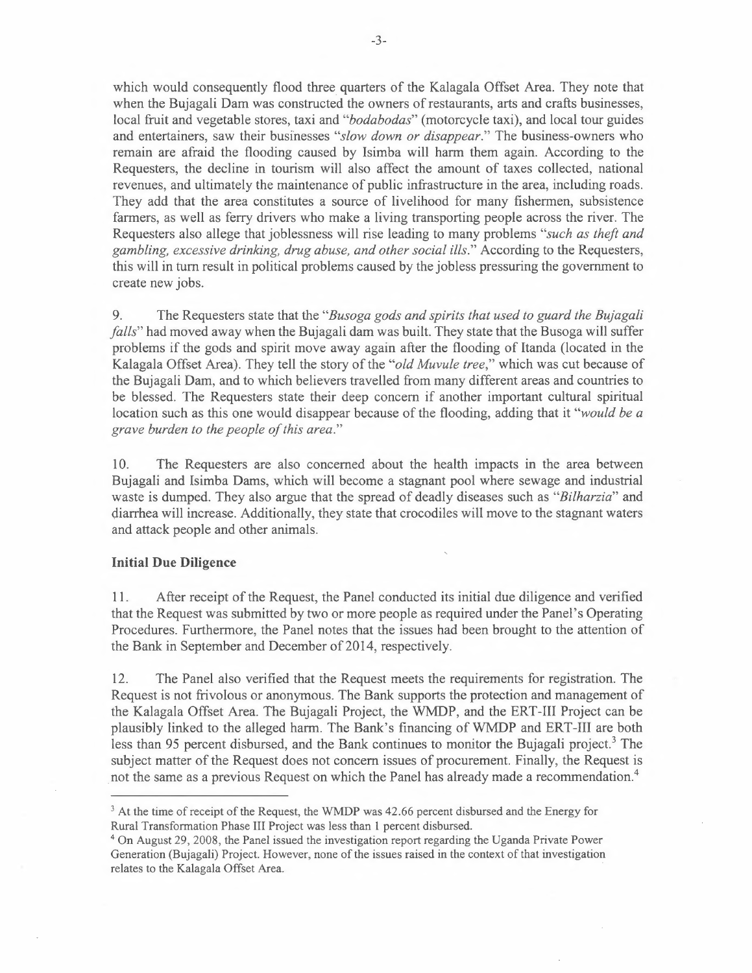which would consequently flood three quarters of the Kalagala Offset Area. They note that when the Bujagali Dam was constructed the owners of restaurants, arts and crafts businesses, local fruit and vegetable stores, taxi and *"bodabodas"* (motorcycle taxi), and local tour guides and entertainers, saw their businesses *"slow down or disappear."* The business-owners who remain are afraid the flooding caused by Isimba will harm them again. According to the Requesters, the decline in tourism will also affect the amount of taxes collected, national revenues, and ultimately the maintenance of public infrastructure in the area, including roads. They add that the area constitutes a source of livelihood for many fishermen, subsistence farmers, as well as ferry drivers who make a living transporting people across the river. The Requesters also allege that joblessness will rise leading to many problems *"such as theft and gambling, excessive drinking, drug abuse, and other social ills."* According to the Requesters, this will in tum result in political problems caused by the jobless pressuring the government to create new jobs.

9. The Requesters state that the *"Busoga gods and spirits that used to guard the Bujaga/i falls"* had moved away when the Bujagali dam was built. They state that the Busoga will suffer problems if the gods and spirit move away again after the flooding of Itanda (located in the Kalagala Offset Area). They tell the story of the *"old Muvule tree,"* which was cut because of the Bujagali Dam, and to which believers travelled from many different areas and countries to be blessed. The Requesters state their deep concern if another important cultural spiritual location such as this one would disappear because of the flooding, adding that it *"would be a grave burden to the people of this area."* 

10. The Requesters are also concerned about the health impacts in the area between Bujagali and Isimba Dams, which will become a stagnant pool where sewage and industrial waste is dumped. They also argue that the spread of deadly diseases such as *"Bilharzia"* and diarrhea will increase. Additionally, they state that crocodiles will move to the stagnant waters and attack people and other animals.

# **Initial Due Diligence**

11. After receipt of the Request, the Panel conducted its initial due diligence and verified that the Request was submitted by two or more people as required under the Panel's Operating Procedures. Furthermore, the Panel notes that the issues had been brought to the attention of the Bank in September and December of 2014, respectively.

12. The Panel also verified that the Request meets the requirements for registration. The Request is not frivolous or anonymous. The Bank supports the protection and management of the Kalagala Offset Area. The Bujagali Project, the WMDP, and the ERT-III Project can be plausibly linked to the alleged harm. The Bank's financing of WMDP and ERT-III are both less than 95 percent disbursed, and the Bank continues to monitor the Bujagali project.<sup>3</sup> The subject matter of the Request does not concern issues of procurement. Finally, the Request is not the same as a previous Request on which the Panel has already made a recommendation.<sup>4</sup>

 $3$  At the time of receipt of the Request, the WMDP was 42.66 percent disbursed and the Energy for Rural Transformation Phase III Project was less than 1 percent disbursed.

<sup>4</sup>On August 29,2008, the Panel issued the investigation report regarding the Uganda Private Power Generation (Bujagali) Project. However, none of the issues raised in the context of that investigation relates to the Kalagala Offset Area.